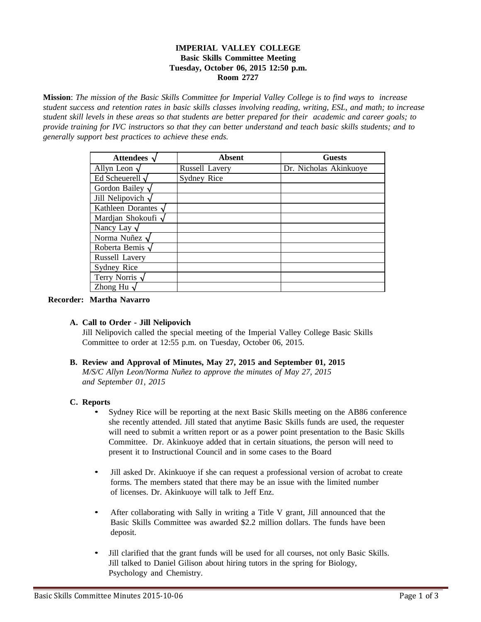## **IMPERIAL VALLEY COLLEGE Basic Skills Committee Meeting Tuesday, October 06, 2015 12:50 p.m. Room 2727**

**Mission**: The mission of the Basic Skills Committee for Imperial Valley College is to find ways to increase student success and retention rates in basic skills classes involving reading, writing, ESL, and math; to increase student skill levels in these areas so that students are better prepared for their academic and career goals; to provide training for IVC instructors so that they can better understand and teach basic skills students; and to *generally support best practices to achieve these ends.*

| Attendees $\nu$         | Absent         | <b>Guests</b>          |
|-------------------------|----------------|------------------------|
| Allyn Leon $\sqrt$      | Russell Lavery | Dr. Nicholas Akinkuoye |
| Ed Scheuerell $\sqrt$   | Sydney Rice    |                        |
| Gordon Bailey $\sqrt$   |                |                        |
| Jill Nelipovich $\sqrt$ |                |                        |
| Kathleen Dorantes $\nu$ |                |                        |
| Mardian Shokoufi √      |                |                        |
| Nancy Lay $\sqrt$       |                |                        |
| Norma Nuñez √           |                |                        |
| Roberta Bemis $\sim$    |                |                        |
| Russell Lavery          |                |                        |
| Sydney Rice             |                |                        |
| Terry Norris $\sqrt$    |                |                        |
| Zhong Hu                |                |                        |

#### **Recorder: Martha Navarro**

### **A. Call to Order - Jill Nelipovich**

Jill Nelipovich called the special meeting of the Imperial Valley College Basic Skills Committee to order at 12:55 p.m. on Tuesday, October 06, 2015.

# **B. Review and Approval of Minutes, May 27, 2015 and September 01, 2015**

*M/S/C Allyn Leon/Norma Nuñez to approve the minutes of May 27, 2015 and September 01, 2015*

### **C. Reports**

- Sydney Rice will be reporting at the next Basic Skills meeting on the AB86 conference she recently attended. Jill stated that anytime Basic Skills funds are used, the requester will need to submit a written report or as a power point presentation to the Basic Skills Committee. Dr. Akinkuoye added that in certain situations, the person will need to present it to Instructional Council and in some cases to the Board
- Jill asked Dr. Akinkuoye if she can request a professional version of acrobat to create forms. The members stated that there may be an issue with the limited number of licenses. Dr. Akinkuoye will talk to Jeff Enz.
- After collaborating with Sally in writing a Title V grant, Jill announced that the Basic Skills Committee was awarded \$2.2 million dollars. The funds have been deposit.
- Jill clarified that the grant funds will be used for all courses, not only Basic Skills. Jill talked to Daniel Gilison about hiring tutors in the spring for Biology, Psychology and Chemistry.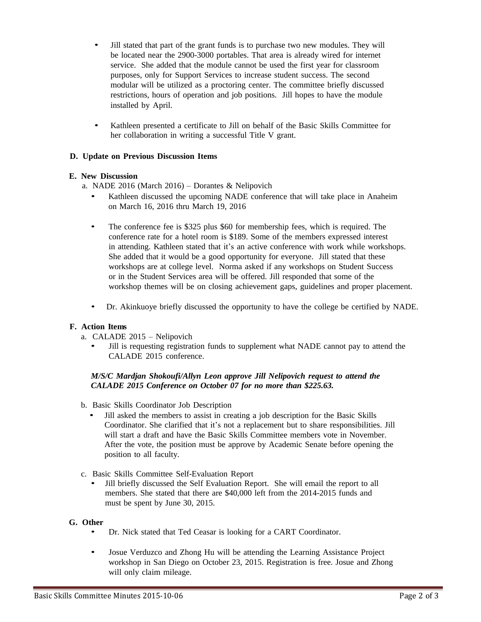- Jill stated that part of the grant funds is to purchase two new modules. They will be located near the 2900-3000 portables. That area is already wired for internet service. She added that the module cannot be used the first year for classroom purposes, only for Support Services to increase student success. The second modular will be utilized as a proctoring center. The committee briefly discussed restrictions, hours of operation and job positions. Jill hopes to have the module installed by April.
- Kathleen presented a certificate to Jill on behalf of the Basic Skills Committee for her collaboration in writing a successful Title V grant.

## **D. Update on Previous Discussion Items**

### **E. New Discussion**

a. NADE 2016 (March 2016) – Dorantes & Nelipovich

- Kathleen discussed the upcoming NADE conference that will take place in Anaheim on March 16, 2016 thru March 19, 2016
- The conference fee is \$325 plus \$60 for membership fees, which is required. The conference rate for a hotel room is \$189. Some of the members expressed interest in attending. Kathleen stated that it's an active conference with work while workshops. She added that it would be a good opportunity for everyone. Jill stated that these workshops are at college level. Norma asked if any workshops on Student Success or in the Student Services area will be offered. Jill responded that some of the workshop themes will be on closing achievement gaps, guidelines and proper placement.
- Dr. Akinkuoye briefly discussed the opportunity to have the college be certified by NADE.

#### **F. Action Items**

a. CALADE 2015 – Nelipovich

• Jill is requesting registration funds to supplement what NADE cannot pay to attend the CALADE 2015 conference.

### *M/S/C Mardjan Shokoufi/Allyn Leon approve Jill Nelipovich request to attend the CALADE 2015 Conference on October 07 for no more than \$225.63.*

- b. Basic Skills Coordinator Job Description
	- Jill asked the members to assist in creating a job description for the Basic Skills Coordinator. She clarified that it's not a replacement but to share responsibilities. Jill will start a draft and have the Basic Skills Committee members vote in November. After the vote, the position must be approve by Academic Senate before opening the position to all faculty.
- c. Basic Skills Committee Self-Evaluation Report
	- Jill briefly discussed the Self Evaluation Report. She will email the report to all members. She stated that there are \$40,000 left from the 2014-2015 funds and must be spent by June 30, 2015.

#### **G. Other**

- Dr. Nick stated that Ted Ceasar is looking for a CART Coordinator.
- Josue Verduzco and Zhong Hu will be attending the Learning Assistance Project workshop in San Diego on October 23, 2015. Registration is free. Josue and Zhong will only claim mileage.